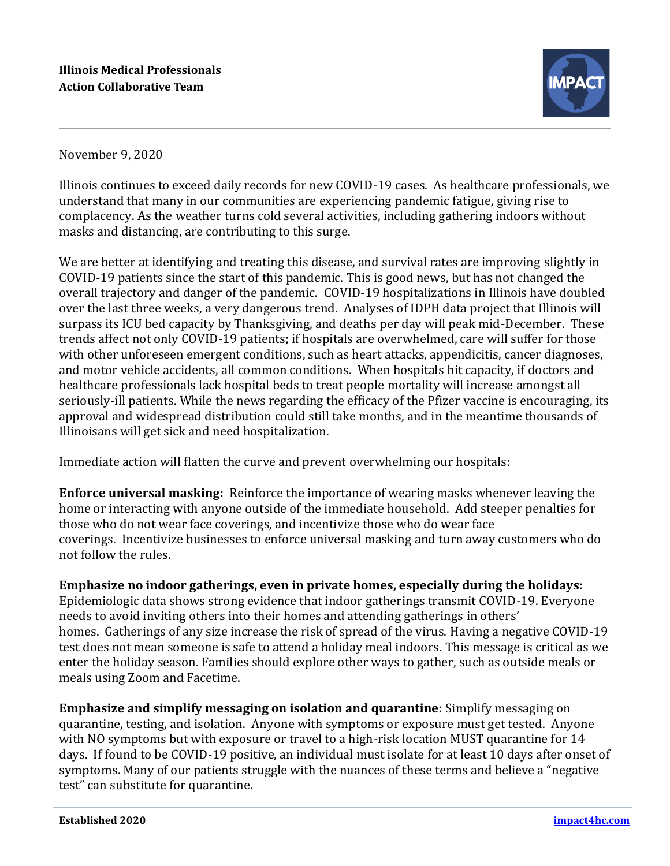

November 9, 2020

Illinois continues to exceed daily records for new COVID-19 cases. As healthcare professionals, we understand that many in our communities are experiencing pandemic fatigue, giving rise to complacency. As the weather turns cold several activities, including gathering indoors without masks and distancing, are contributing to this surge.

We are better at identifying and treating this disease, and survival rates are improving slightly in COVID-19 patients since the start of this pandemic. This is good news, but has not changed the overall trajectory and danger of the pandemic. COVID-19 hospitalizations in Illinois have doubled over the last three weeks, a very dangerous trend. Analyses of IDPH data project that Illinois will surpass its ICU bed capacity by Thanksgiving, and deaths per day will peak mid-December. These trends affect not only COVID-19 patients; if hospitals are overwhelmed, care will suffer for those with other unforeseen emergent conditions, such as heart attacks, appendicitis, cancer diagnoses, and motor vehicle accidents, all common conditions. When hospitals hit capacity, if doctors and healthcare professionals lack hospital beds to treat people mortality will increase amongst all seriously-ill patients. While the news regarding the efficacy of the Pfizer vaccine is encouraging, its approval and widespread distribution could still take months, and in the meantime thousands of Illinoisans will get sick and need hospitalization.

Immediate action will flatten the curve and prevent overwhelming our hospitals:

**Enforce universal masking:** Reinforce the importance of wearing masks whenever leaving the home or interacting with anyone outside of the immediate household. Add steeper penalties for those who do not wear face coverings, and incentivize those who do wear face coverings. Incentivize businesses to enforce universal masking and turn away customers who do not follow the rules.

**Emphasize no indoor gatherings, even in private homes, especially during the holidays:**  Epidemiologic data shows strong evidence that indoor gatherings transmit COVID-19. Everyone needs to avoid inviting others into their homes and attending gatherings in others' homes. Gatherings of any size increase the risk of spread of the virus. Having a negative COVID-19 test does not mean someone is safe to attend a holiday meal indoors. This message is critical as we enter the holiday season. Families should explore other ways to gather, such as outside meals or meals using Zoom and Facetime.

**Emphasize and simplify messaging on isolation and quarantine:** Simplify messaging on quarantine, testing, and isolation. Anyone with symptoms or exposure must get tested. Anyone with NO symptoms but with exposure or travel to a high-risk location MUST quarantine for 14 days. If found to be COVID-19 positive, an individual must isolate for at least 10 days after onset of symptoms. Many of our patients struggle with the nuances of these terms and believe a "negative test" can substitute for quarantine.